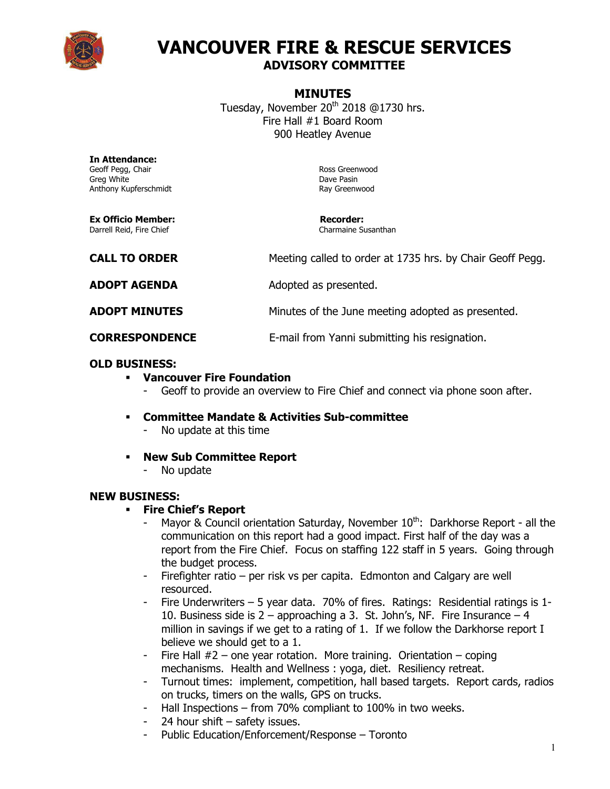

# **VANCOUVER FIRE & RESCUE SERVICES ADVISORY COMMITTEE**

#### **MINUTES**

Tuesday, November 20<sup>th</sup> 2018 @1730 hrs. Fire Hall #1 Board Room 900 Heatley Avenue

**In Attendance:** Geoff Pegg, Chair **Ross Greenwood** Greg White Dave Pasin Anthony Kupferschmidt **Ray Greenwood** 

**Ex Officio Member: Recorder:**  Darrell Reid, Fire Chief

| <b>CALL TO ORDER</b>  | Meeting called to order at 1735 hrs. by Chair Geoff Pegg. |
|-----------------------|-----------------------------------------------------------|
| <b>ADOPT AGENDA</b>   | Adopted as presented.                                     |
| <b>ADOPT MINUTES</b>  | Minutes of the June meeting adopted as presented.         |
| <b>CORRESPONDENCE</b> | E-mail from Yanni submitting his resignation.             |

#### **OLD BUSINESS:**

- **Vancouver Fire Foundation**
	- Geoff to provide an overview to Fire Chief and connect via phone soon after.
- **Committee Mandate & Activities Sub-committee**
	- No update at this time
- **New Sub Committee Report**
	- No update

#### **NEW BUSINESS:**

- **Fire Chief's Report**
	- Mayor & Council orientation Saturday, November  $10^{th}$ : Darkhorse Report all the communication on this report had a good impact. First half of the day was a report from the Fire Chief. Focus on staffing 122 staff in 5 years. Going through the budget process.
	- Firefighter ratio per risk vs per capita. Edmonton and Calgary are well resourced.
	- Fire Underwriters 5 year data. 70% of fires. Ratings: Residential ratings is 1- 10. Business side is  $2$  – approaching a 3. St. John's, NF. Fire Insurance – 4 million in savings if we get to a rating of 1. If we follow the Darkhorse report I believe we should get to a 1.
	- Fire Hall  $#2$  one year rotation. More training. Orientation coping mechanisms. Health and Wellness : yoga, diet. Resiliency retreat.
	- Turnout times: implement, competition, hall based targets. Report cards, radios on trucks, timers on the walls, GPS on trucks.
	- Hall Inspections from 70% compliant to 100% in two weeks.
	- 24 hour shift safety issues.
	- Public Education/Enforcement/Response Toronto